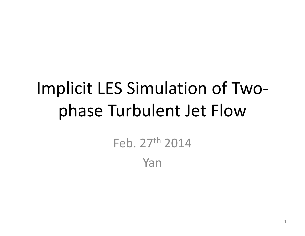# Implicit LES Simulation of Two‐ phase Turbulent Jet Flow

Feb. 27th 2014

Yan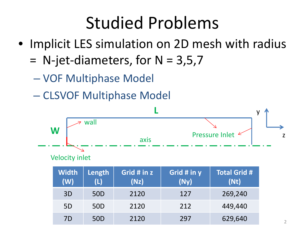# Studied Problems

- Implicit LES simulation on 2D mesh with radius
	- = $=$  N-jet-diameters, for N = 3,5,7
		- –VOF Multiphase Model
		- $\mathcal{L}_{\mathcal{A}}$  , and the set of  $\mathcal{L}_{\mathcal{A}}$ CLSVOF Multiphase Model

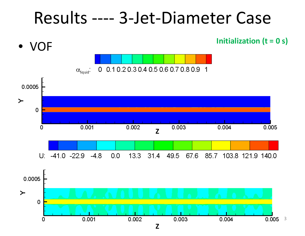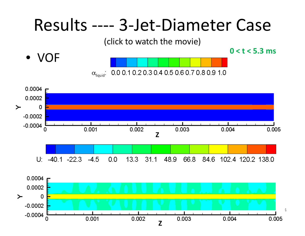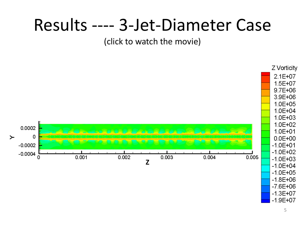### Results ---- 3-Jet-Diameter Case

#### (click to watch the movie)

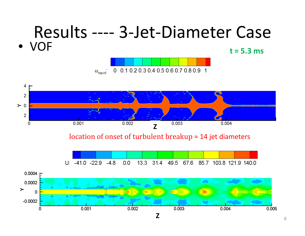#### Results ‐‐‐‐ 3‐Jet‐Diameter Case • VOF**t <sup>=</sup> 5.3 ms** 0 0.1 0.2 0.3 0.4 0.5 0.6 0.7 0.8 0.9 1  $\alpha$ <sub>liquid</sub>:

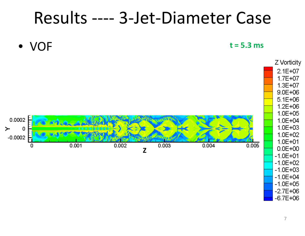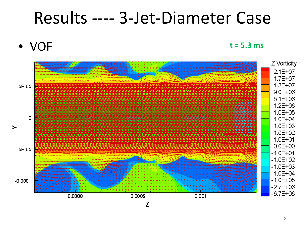

**t <sup>=</sup> 5.3 ms**

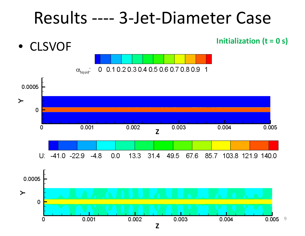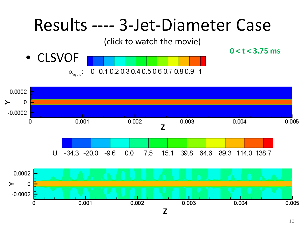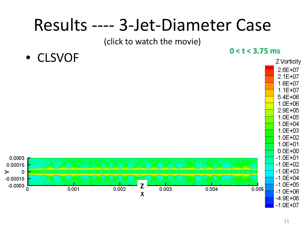## Results ---- 3-Jet-Diameter Case

(click to watch the movie)

• CLSVOF



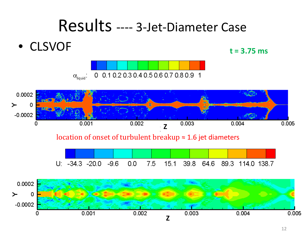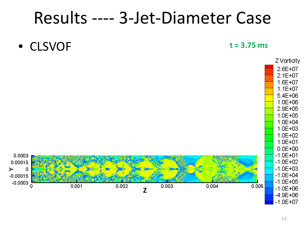• CLSVOF

#### **t <sup>=</sup> 3.75 ms**

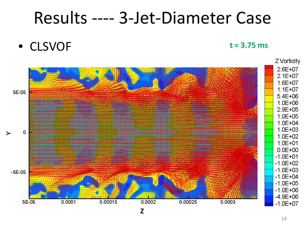• CLSVOF

**t <sup>=</sup> 3.75 ms**

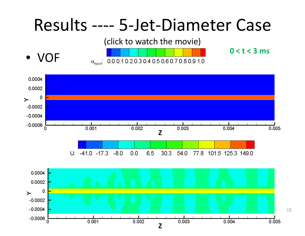### Results ---- 5-Jet-Diameter Case

(click to watch the movie)

 $\bullet$  VOF



 $0 < t < 3$  ms

15

0.0004 0.0002 0  $\geq$  $-0.0002$  $-0.0004$  $-0.0006$  $0.001$  $0.002$  $0.003$  $0.004$  $0.005$ n Z  $U: -41.0 -17.3 -8.0$  $0.0$ 6.5  $30.3$ 54.0 77.8 101.5 125.3 149.0 0.0004 0.0002 0  $\geq$  $-0.0002$  $-0.0004$  $-0.0006$  $0.001$  $0.002$ n  $0.003$ 0.004 0.005

 $\overline{z}$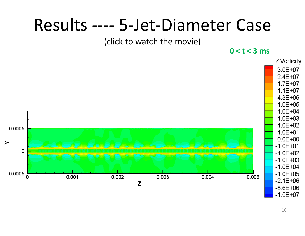#### Results ---- 5-Jet-Diameter Case

#### (click to watch the movie)

 $0 < t < 3$  ms

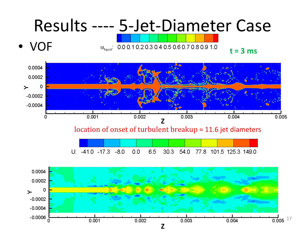• VOF

 $\alpha_{\text{fiauid}}$ ; 0.0 0.1 0.2 0.3 0.4 0.5 0.6 0.7 0.8 0.9 1.0



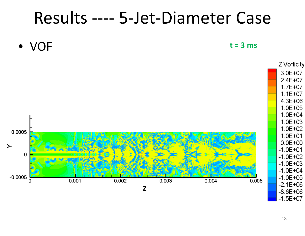• VOF

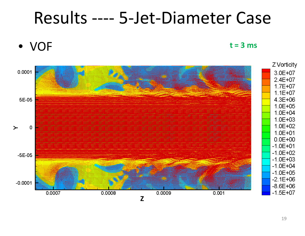• VOF

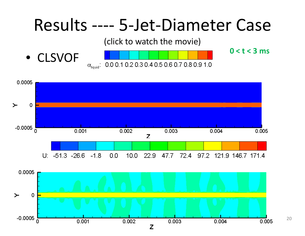![](_page_19_Figure_0.jpeg)

![](_page_19_Figure_1.jpeg)

20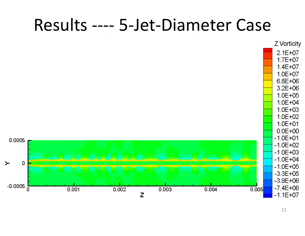#### Results ---- 5-Jet-Diameter Case

![](_page_20_Figure_1.jpeg)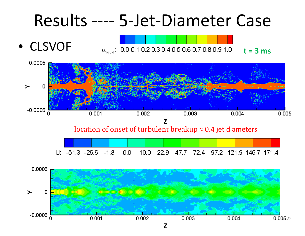• CLSVOF

![](_page_21_Figure_2.jpeg)

**t <sup>=</sup> 3 ms**

![](_page_21_Figure_4.jpeg)

![](_page_21_Figure_5.jpeg)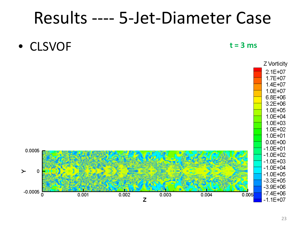• CLSVOF

![](_page_22_Figure_3.jpeg)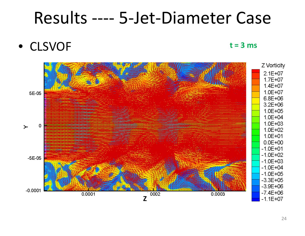• CLSVOF

![](_page_23_Figure_3.jpeg)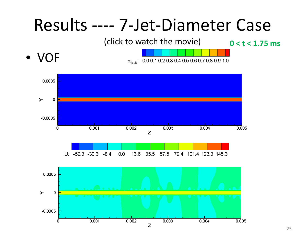![](_page_24_Figure_0.jpeg)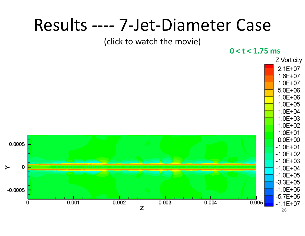#### Results ---- 7-Jet-Diameter Case

#### (click to watch the movie)

 $0 < t < 1.75$  ms

![](_page_25_Figure_3.jpeg)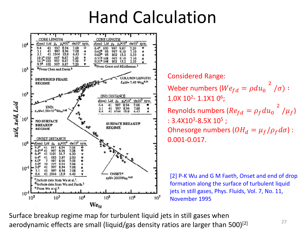### Hand Calculation

![](_page_26_Figure_1.jpeg)

Considered Range: Weber numbers ( $We_{fd}=\rho du_0$  $^{2}$   $/\sigma)$  :  $1.0$ X  $10^{\sf 2}$ -  $1.1$ X $1$   $0^{\sf 6}$ ; Reynolds numbers ( $Re_{fd}=\rho_f du_0$  $^{2}$  / $\mu_{f}$ ) : 3.4X10<sup>3</sup>-8.5X 10<sup>5</sup> ; Ohnesorge numbers ( $OH_d=\mu_f/\rho_f d\sigma)$  : 0.001‐0.017.

[2] P-K Wu and G M Faeth, Onset and end of drop formation along the surface of turbulent liquid jets in still gases, Phys. Fluids, Vol. 7, No. 11, November 1995

Surface breakup regime map for turbulent liquid jets in still gases when aerodynamic effects are small (liquid/gas density ratios are larger than 500)<sup>[2]</sup>